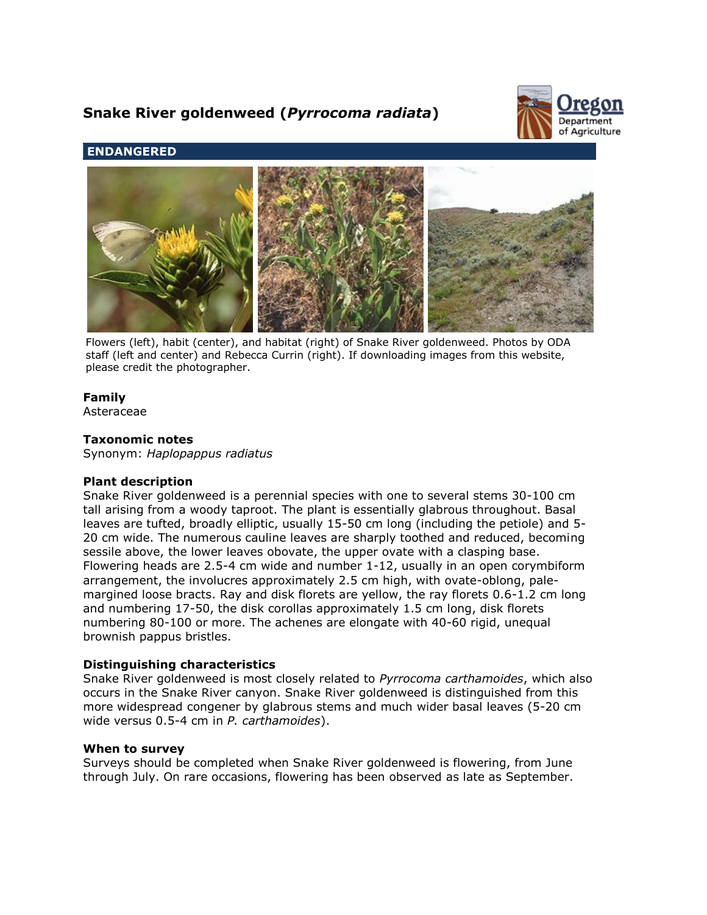# **Snake River goldenweed (***Pyrrocoma radiata***)**



# **ENDANGERED**



Flowers (left), habit (center), and habitat (right) of Snake River goldenweed. Photos by ODA staff (left and center) and Rebecca Currin (right). If downloading images from this website, please credit the photographer.

# **Family**

Asteraceae

## **Taxonomic notes**

Synonym: *Haplopappus radiatus*

## **Plant description**

Snake River goldenweed is a perennial species with one to several stems 30-100 cm tall arising from a woody taproot. The plant is essentially glabrous throughout. Basal leaves are tufted, broadly elliptic, usually 15-50 cm long (including the petiole) and 5- 20 cm wide. The numerous cauline leaves are sharply toothed and reduced, becoming sessile above, the lower leaves obovate, the upper ovate with a clasping base. Flowering heads are 2.5-4 cm wide and number 1-12, usually in an open corymbiform arrangement, the involucres approximately 2.5 cm high, with ovate-oblong, palemargined loose bracts. Ray and disk florets are yellow, the ray florets 0.6-1.2 cm long and numbering 17-50, the disk corollas approximately 1.5 cm long, disk florets numbering 80-100 or more. The achenes are elongate with 40-60 rigid, unequal brownish pappus bristles.

## **Distinguishing characteristics**

Snake River goldenweed is most closely related to *Pyrrocoma carthamoides*, which also occurs in the Snake River canyon. Snake River goldenweed is distinguished from this more widespread congener by glabrous stems and much wider basal leaves (5-20 cm wide versus 0.5-4 cm in *P. carthamoides*).

## **When to survey**

Surveys should be completed when Snake River goldenweed is flowering, from June through July. On rare occasions, flowering has been observed as late as September.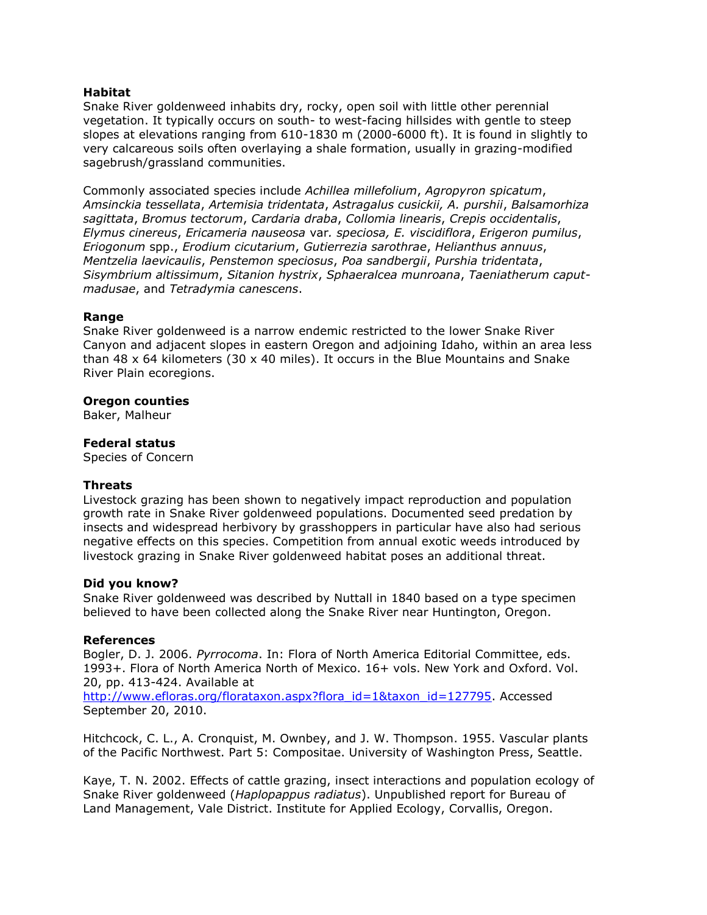## **Habitat**

Snake River goldenweed inhabits dry, rocky, open soil with little other perennial vegetation. It typically occurs on south- to west-facing hillsides with gentle to steep slopes at elevations ranging from 610-1830 m (2000-6000 ft). It is found in slightly to very calcareous soils often overlaying a shale formation, usually in grazing-modified sagebrush/grassland communities.

Commonly associated species include *Achillea millefolium*, *Agropyron spicatum*, *Amsinckia tessellata*, *Artemisia tridentata*, *Astragalus cusickii, A. purshii*, *Balsamorhiza sagittata*, *Bromus tectorum*, *Cardaria draba*, *Collomia linearis*, *Crepis occidentalis*, *Elymus cinereus*, *Ericameria nauseosa* var*. speciosa, E. viscidiflora*, *Erigeron pumilus*, *Eriogonum* spp., *Erodium cicutarium*, *Gutierrezia sarothrae*, *Helianthus annuus*, *Mentzelia laevicaulis*, *Penstemon speciosus*, *Poa sandbergii*, *Purshia tridentata*, *Sisymbrium altissimum*, *Sitanion hystrix*, *Sphaeralcea munroana*, *Taeniatherum caputmadusae*, and *Tetradymia canescens*.

## **Range**

Snake River goldenweed is a narrow endemic restricted to the lower Snake River Canyon and adjacent slopes in eastern Oregon and adjoining Idaho, within an area less than 48  $\times$  64 kilometers (30  $\times$  40 miles). It occurs in the Blue Mountains and Snake River Plain ecoregions.

## **Oregon counties**

Baker, Malheur

## **Federal status**

Species of Concern

## **Threats**

Livestock grazing has been shown to negatively impact reproduction and population growth rate in Snake River goldenweed populations. Documented seed predation by insects and widespread herbivory by grasshoppers in particular have also had serious negative effects on this species. Competition from annual exotic weeds introduced by livestock grazing in Snake River goldenweed habitat poses an additional threat.

## **Did you know?**

Snake River goldenweed was described by Nuttall in 1840 based on a type specimen believed to have been collected along the Snake River near Huntington, Oregon.

## **References**

Bogler, D. J. 2006. *Pyrrocoma*. In: Flora of North America Editorial Committee, eds. 1993+. Flora of North America North of Mexico. 16+ vols. New York and Oxford. Vol. 20, pp. 413-424. Available at

[http://www.efloras.org/florataxon.aspx?flora\\_id=1&taxon\\_id=127795.](http://www.efloras.org/florataxon.aspx?flora_id=1&taxon_id=127795) Accessed September 20, 2010.

Hitchcock, C. L., A. Cronquist, M. Ownbey, and J. W. Thompson. 1955. Vascular plants of the Pacific Northwest. Part 5: Compositae. University of Washington Press, Seattle.

Kaye, T. N. 2002. Effects of cattle grazing, insect interactions and population ecology of Snake River goldenweed (*Haplopappus radiatus*). Unpublished report for Bureau of Land Management, Vale District. Institute for Applied Ecology, Corvallis, Oregon.